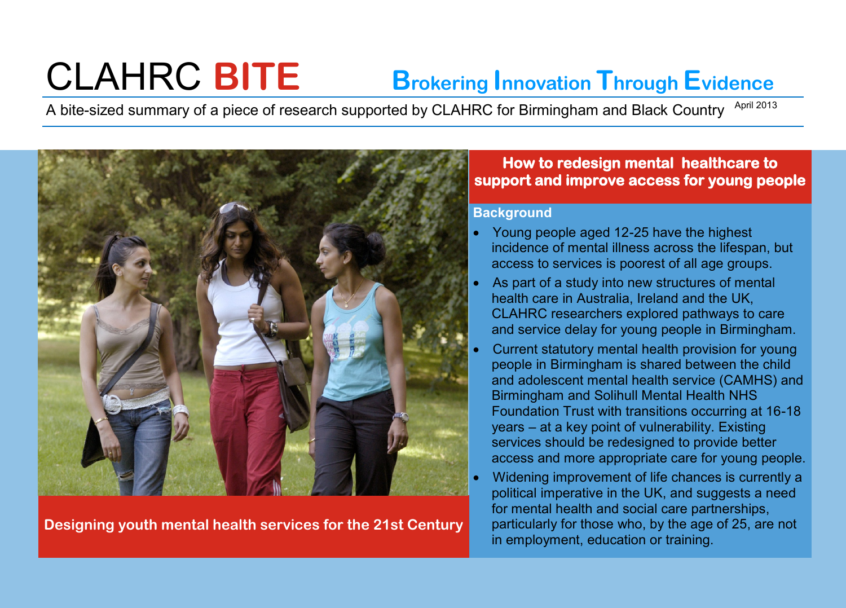# CLAHRC **BITE Brokering Innovation Through Evidence**

A bite-sized summary of a piece of research supported by CLAHRC for Birmingham and Black Country <sup>April 2013</sup>



**Designing youth mental health services for the 21st Century**

## **How to redesign mental healthcare to support and improve access for young people**

## **Background**

- Young people aged 12-25 have the highest incidence of mental illness across the lifespan, but access to services is poorest of all age groups.
- As part of a study into new structures of mental health care in Australia, Ireland and the UK, CLAHRC researchers explored pathways to care and service delay for young people in Birmingham.
- Current statutory mental health provision for young people in Birmingham is shared between the child and adolescent mental health service (CAMHS) and Birmingham and Solihull Mental Health NHS Foundation Trust with transitions occurring at 16-18 years – at a key point of vulnerability. Existing services should be redesigned to provide better access and more appropriate care for young people.
- Widening improvement of life chances is currently a political imperative in the UK, and suggests a need for mental health and social care partnerships, particularly for those who, by the age of 25, are not in employment, education or training.